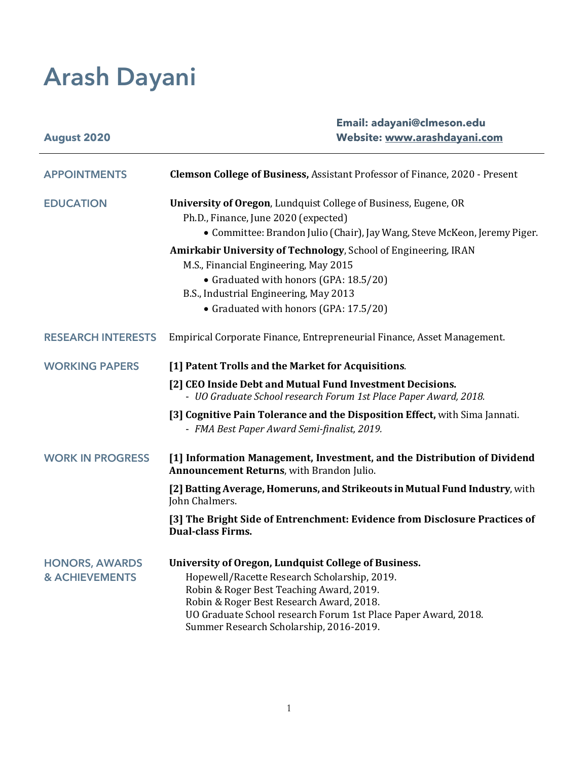# **Arash Dayani**

| <b>August 2020</b>                                 | Email: adayani@clmeson.edu<br>Website: www.arashdayani.com                                                                                                                                                                                                                                                |
|----------------------------------------------------|-----------------------------------------------------------------------------------------------------------------------------------------------------------------------------------------------------------------------------------------------------------------------------------------------------------|
| <b>APPOINTMENTS</b>                                | <b>Clemson College of Business, Assistant Professor of Finance, 2020 - Present</b>                                                                                                                                                                                                                        |
| <b>EDUCATION</b>                                   | University of Oregon, Lundquist College of Business, Eugene, OR<br>Ph.D., Finance, June 2020 (expected)                                                                                                                                                                                                   |
|                                                    | • Committee: Brandon Julio (Chair), Jay Wang, Steve McKeon, Jeremy Piger.                                                                                                                                                                                                                                 |
|                                                    | Amirkabir University of Technology, School of Engineering, IRAN<br>M.S., Financial Engineering, May 2015                                                                                                                                                                                                  |
|                                                    | • Graduated with honors (GPA: 18.5/20)<br>B.S., Industrial Engineering, May 2013                                                                                                                                                                                                                          |
|                                                    | • Graduated with honors (GPA: 17.5/20)                                                                                                                                                                                                                                                                    |
| <b>RESEARCH INTERESTS</b>                          | Empirical Corporate Finance, Entrepreneurial Finance, Asset Management.                                                                                                                                                                                                                                   |
| <b>WORKING PAPERS</b>                              | [1] Patent Trolls and the Market for Acquisitions.                                                                                                                                                                                                                                                        |
|                                                    | [2] CEO Inside Debt and Mutual Fund Investment Decisions.<br>- UO Graduate School research Forum 1st Place Paper Award, 2018.                                                                                                                                                                             |
|                                                    | [3] Cognitive Pain Tolerance and the Disposition Effect, with Sima Jannati.<br>- FMA Best Paper Award Semi-finalist, 2019.                                                                                                                                                                                |
| <b>WORK IN PROGRESS</b>                            | [1] Information Management, Investment, and the Distribution of Dividend<br>Announcement Returns, with Brandon Julio.                                                                                                                                                                                     |
|                                                    | [2] Batting Average, Homeruns, and Strikeouts in Mutual Fund Industry, with<br>John Chalmers.                                                                                                                                                                                                             |
|                                                    | [3] The Bright Side of Entrenchment: Evidence from Disclosure Practices of<br><b>Dual-class Firms.</b>                                                                                                                                                                                                    |
| <b>HONORS, AWARDS</b><br><b>&amp; ACHIEVEMENTS</b> | University of Oregon, Lundquist College of Business.<br>Hopewell/Racette Research Scholarship, 2019.<br>Robin & Roger Best Teaching Award, 2019.<br>Robin & Roger Best Research Award, 2018.<br>UO Graduate School research Forum 1st Place Paper Award, 2018.<br>Summer Research Scholarship, 2016-2019. |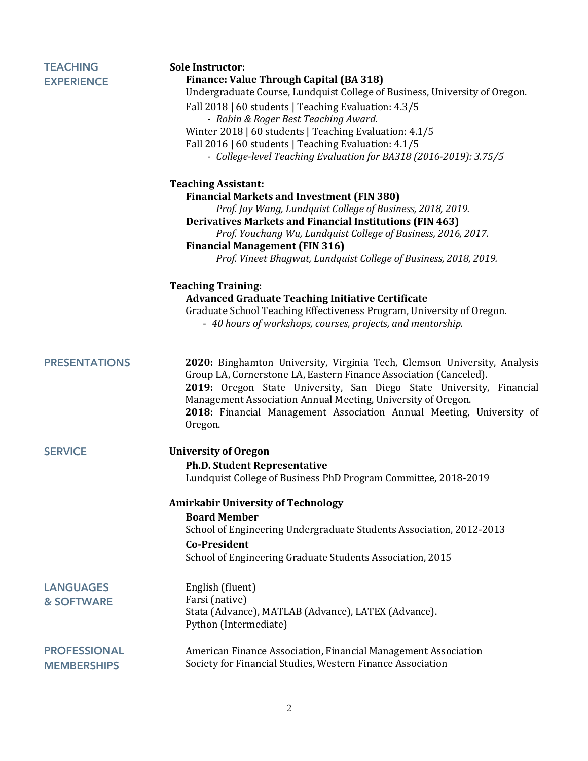| <b>TEACHING</b><br><b>EXPERIENCE</b>      | <b>Sole Instructor:</b><br>Finance: Value Through Capital (BA 318)<br>Undergraduate Course, Lundquist College of Business, University of Oregon.<br>Fall 2018   60 students   Teaching Evaluation: 4.3/5<br>- Robin & Roger Best Teaching Award.<br>Winter 2018   60 students   Teaching Evaluation: 4.1/5<br>Fall 2016   60 students   Teaching Evaluation: 4.1/5<br>- College-level Teaching Evaluation for BA318 (2016-2019): 3.75/5 |
|-------------------------------------------|-----------------------------------------------------------------------------------------------------------------------------------------------------------------------------------------------------------------------------------------------------------------------------------------------------------------------------------------------------------------------------------------------------------------------------------------|
|                                           | <b>Teaching Assistant:</b><br><b>Financial Markets and Investment (FIN 380)</b><br>Prof. Jay Wang, Lundquist College of Business, 2018, 2019.<br><b>Derivatives Markets and Financial Institutions (FIN 463)</b><br>Prof. Youchang Wu, Lundquist College of Business, 2016, 2017.<br><b>Financial Management (FIN 316)</b><br>Prof. Vineet Bhagwat, Lundquist College of Business, 2018, 2019.                                          |
|                                           | <b>Teaching Training:</b><br><b>Advanced Graduate Teaching Initiative Certificate</b><br>Graduate School Teaching Effectiveness Program, University of Oregon.<br>- 40 hours of workshops, courses, projects, and mentorship.                                                                                                                                                                                                           |
| <b>PRESENTATIONS</b>                      | 2020: Binghamton University, Virginia Tech, Clemson University, Analysis<br>Group LA, Cornerstone LA, Eastern Finance Association (Canceled).<br>2019: Oregon State University, San Diego State University, Financial<br>Management Association Annual Meeting, University of Oregon.<br>2018: Financial Management Association Annual Meeting, University of<br>Oregon.                                                                |
| <b>SERVICE</b>                            | <b>University of Oregon</b><br><b>Ph.D. Student Representative</b><br>Lundquist College of Business PhD Program Committee, 2018-2019                                                                                                                                                                                                                                                                                                    |
|                                           | <b>Amirkabir University of Technology</b><br><b>Board Member</b><br>School of Engineering Undergraduate Students Association, 2012-2013<br><b>Co-President</b><br>School of Engineering Graduate Students Association, 2015                                                                                                                                                                                                             |
| <b>LANGUAGES</b><br><b>&amp; SOFTWARE</b> | English (fluent)<br>Farsi (native)<br>Stata (Advance), MATLAB (Advance), LATEX (Advance).<br>Python (Intermediate)                                                                                                                                                                                                                                                                                                                      |
| <b>PROFESSIONAL</b><br><b>MEMBERSHIPS</b> | American Finance Association, Financial Management Association<br>Society for Financial Studies, Western Finance Association                                                                                                                                                                                                                                                                                                            |